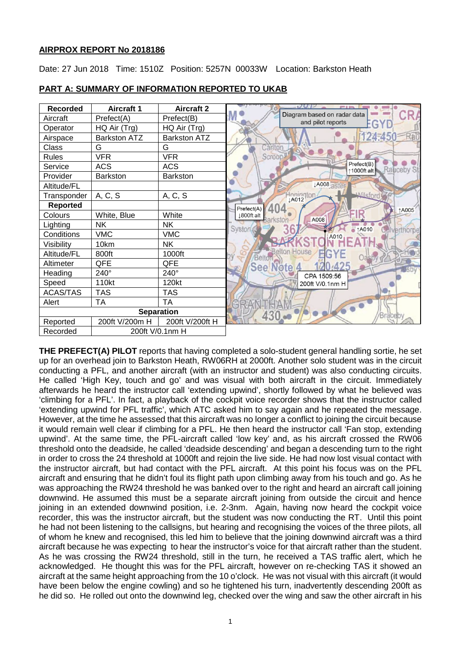## **AIRPROX REPORT No 2018186**

Date: 27 Jun 2018 Time: 1510Z Position: 5257N 00033W Location: Barkston Heath



## **PART A: SUMMARY OF INFORMATION REPORTED TO UKAB**

**THE PREFECT(A) PILOT** reports that having completed a solo-student general handling sortie, he set up for an overhead join to Barkston Heath, RW06RH at 2000ft. Another solo student was in the circuit conducting a PFL, and another aircraft (with an instructor and student) was also conducting circuits. He called 'High Key, touch and go' and was visual with both aircraft in the circuit. Immediately afterwards he heard the instructor call 'extending upwind', shortly followed by what he believed was 'climbing for a PFL'. In fact, a playback of the cockpit voice recorder shows that the instructor called 'extending upwind for PFL traffic', which ATC asked him to say again and he repeated the message. However, at the time he assessed that this aircraft was no longer a conflict to joining the circuit because it would remain well clear if climbing for a PFL. He then heard the instructor call 'Fan stop, extending upwind'. At the same time, the PFL-aircraft called 'low key' and, as his aircraft crossed the RW06 threshold onto the deadside, he called 'deadside descending' and began a descending turn to the right in order to cross the 24 threshold at 1000ft and rejoin the live side. He had now lost visual contact with the instructor aircraft, but had contact with the PFL aircraft. At this point his focus was on the PFL aircraft and ensuring that he didn't foul its flight path upon climbing away from his touch and go. As he was approaching the RW24 threshold he was banked over to the right and heard an aircraft call joining downwind. He assumed this must be a separate aircraft joining from outside the circuit and hence joining in an extended downwind position, i.e. 2-3nm. Again, having now heard the cockpit voice recorder, this was the instructor aircraft, but the student was now conducting the RT. Until this point he had not been listening to the callsigns, but hearing and recognising the voices of the three pilots, all of whom he knew and recognised, this led him to believe that the joining downwind aircraft was a third aircraft because he was expecting to hear the instructor's voice for that aircraft rather than the student. As he was crossing the RW24 threshold, still in the turn, he received a TAS traffic alert, which he acknowledged. He thought this was for the PFL aircraft, however on re-checking TAS it showed an aircraft at the same height approaching from the 10 o'clock. He was not visual with this aircraft (it would have been below the engine cowling) and so he tightened his turn, inadvertently descending 200ft as he did so. He rolled out onto the downwind leg, checked over the wing and saw the other aircraft in his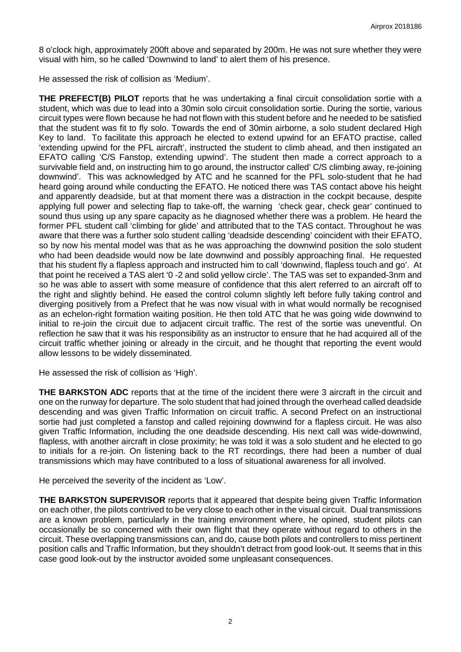8 o'clock high, approximately 200ft above and separated by 200m. He was not sure whether they were visual with him, so he called 'Downwind to land' to alert them of his presence.

He assessed the risk of collision as 'Medium'.

**THE PREFECT(B) PILOT** reports that he was undertaking a final circuit consolidation sortie with a student, which was due to lead into a 30min solo circuit consolidation sortie. During the sortie, various circuit types were flown because he had not flown with this student before and he needed to be satisfied that the student was fit to fly solo. Towards the end of 30min airborne, a solo student declared High Key to land. To facilitate this approach he elected to extend upwind for an EFATO practise, called 'extending upwind for the PFL aircraft', instructed the student to climb ahead, and then instigated an EFATO calling 'C/S Fanstop, extending upwind'. The student then made a correct approach to a survivable field and, on instructing him to go around, the instructor called' C/S climbing away, re-joining downwind'. This was acknowledged by ATC and he scanned for the PFL solo-student that he had heard going around while conducting the EFATO. He noticed there was TAS contact above his height and apparently deadside, but at that moment there was a distraction in the cockpit because, despite applying full power and selecting flap to take-off, the warning 'check gear, check gear' continued to sound thus using up any spare capacity as he diagnosed whether there was a problem. He heard the former PFL student call 'climbing for glide' and attributed that to the TAS contact. Throughout he was aware that there was a further solo student calling 'deadside descending' coincident with their EFATO, so by now his mental model was that as he was approaching the downwind position the solo student who had been deadside would now be late downwind and possibly approaching final. He requested that his student fly a flapless approach and instructed him to call 'downwind, flapless touch and go'. At that point he received a TAS alert '0 -2 and solid yellow circle'. The TAS was set to expanded-3nm and so he was able to assert with some measure of confidence that this alert referred to an aircraft off to the right and slightly behind. He eased the control column slightly left before fully taking control and diverging positively from a Prefect that he was now visual with in what would normally be recognised as an echelon-right formation waiting position. He then told ATC that he was going wide downwind to initial to re-join the circuit due to adjacent circuit traffic. The rest of the sortie was uneventful. On reflection he saw that it was his responsibility as an instructor to ensure that he had acquired all of the circuit traffic whether joining or already in the circuit, and he thought that reporting the event would allow lessons to be widely disseminated.

He assessed the risk of collision as 'High'.

**THE BARKSTON ADC** reports that at the time of the incident there were 3 aircraft in the circuit and one on the runway for departure. The solo student that had joined through the overhead called deadside descending and was given Traffic Information on circuit traffic. A second Prefect on an instructional sortie had just completed a fanstop and called rejoining downwind for a flapless circuit. He was also given Traffic Information, including the one deadside descending. His next call was wide-downwind, flapless, with another aircraft in close proximity; he was told it was a solo student and he elected to go to initials for a re-join. On listening back to the RT recordings, there had been a number of dual transmissions which may have contributed to a loss of situational awareness for all involved.

He perceived the severity of the incident as 'Low'.

**THE BARKSTON SUPERVISOR** reports that it appeared that despite being given Traffic Information on each other, the pilots contrived to be very close to each other in the visual circuit. Dual transmissions are a known problem, particularly in the training environment where, he opined, student pilots can occasionally be so concerned with their own flight that they operate without regard to others in the circuit. These overlapping transmissions can, and do, cause both pilots and controllers to miss pertinent position calls and Traffic Information, but they shouldn't detract from good look-out. It seems that in this case good look-out by the instructor avoided some unpleasant consequences.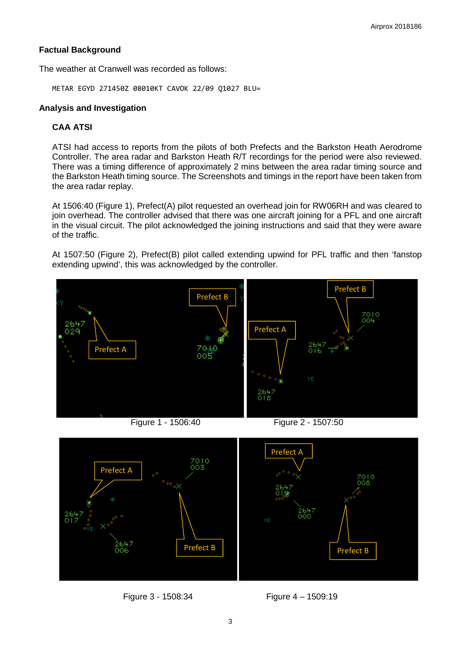# **Factual Background**

The weather at Cranwell was recorded as follows:

METAR EGYD 271450Z 08010KT CAVOK 22/09 Q1027 BLU=

## **Analysis and Investigation**

# **CAA ATSI**

ATSI had access to reports from the pilots of both Prefects and the Barkston Heath Aerodrome Controller. The area radar and Barkston Heath R/T recordings for the period were also reviewed. There was a timing difference of approximately 2 mins between the area radar timing source and the Barkston Heath timing source. The Screenshots and timings in the report have been taken from the area radar replay.

At 1506:40 (Figure 1), Prefect(A) pilot requested an overhead join for RW06RH and was cleared to join overhead. The controller advised that there was one aircraft joining for a PFL and one aircraft in the visual circuit. The pilot acknowledged the joining instructions and said that they were aware of the traffic.

At 1507:50 (Figure 2), Prefect(B) pilot called extending upwind for PFL traffic and then 'fanstop extending upwind', this was acknowledged by the controller.









Figure 3 - 1508:34 Figure 4 – 1509:19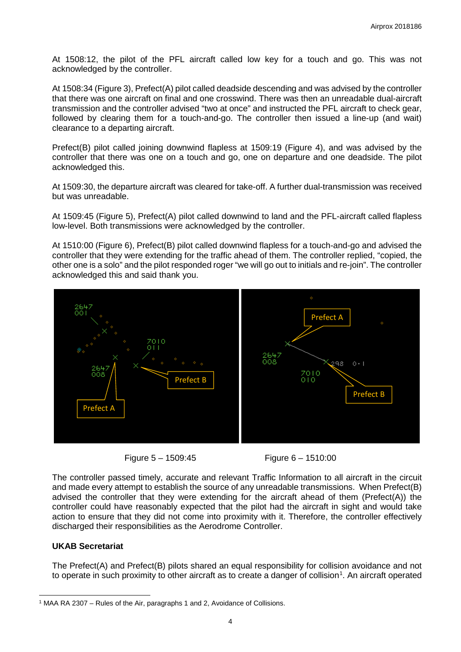At 1508:12, the pilot of the PFL aircraft called low key for a touch and go. This was not acknowledged by the controller.

At 1508:34 (Figure 3), Prefect(A) pilot called deadside descending and was advised by the controller that there was one aircraft on final and one crosswind. There was then an unreadable dual-aircraft transmission and the controller advised "two at once" and instructed the PFL aircraft to check gear, followed by clearing them for a touch-and-go. The controller then issued a line-up (and wait) clearance to a departing aircraft.

Prefect(B) pilot called joining downwind flapless at 1509:19 (Figure 4), and was advised by the controller that there was one on a touch and go, one on departure and one deadside. The pilot acknowledged this.

At 1509:30, the departure aircraft was cleared for take-off. A further dual-transmission was received but was unreadable.

At 1509:45 (Figure 5), Prefect(A) pilot called downwind to land and the PFL-aircraft called flapless low-level. Both transmissions were acknowledged by the controller.

At 1510:00 (Figure 6), Prefect(B) pilot called downwind flapless for a touch-and-go and advised the controller that they were extending for the traffic ahead of them. The controller replied, "copied, the other one is a solo" and the pilot responded roger "we will go out to initials and re-join". The controller acknowledged this and said thank you.





The controller passed timely, accurate and relevant Traffic Information to all aircraft in the circuit and made every attempt to establish the source of any unreadable transmissions. When Prefect(B) advised the controller that they were extending for the aircraft ahead of them (Prefect(A)) the controller could have reasonably expected that the pilot had the aircraft in sight and would take action to ensure that they did not come into proximity with it. Therefore, the controller effectively discharged their responsibilities as the Aerodrome Controller.

# **UKAB Secretariat**

 $\overline{\phantom{a}}$ 

The Prefect(A) and Prefect(B) pilots shared an equal responsibility for collision avoidance and not to operate in such proximity to other aircraft as to create a danger of collision<sup>[1](#page-3-0)</sup>. An aircraft operated

<span id="page-3-0"></span><sup>1</sup> MAA RA 2307 – Rules of the Air, paragraphs 1 and 2, Avoidance of Collisions.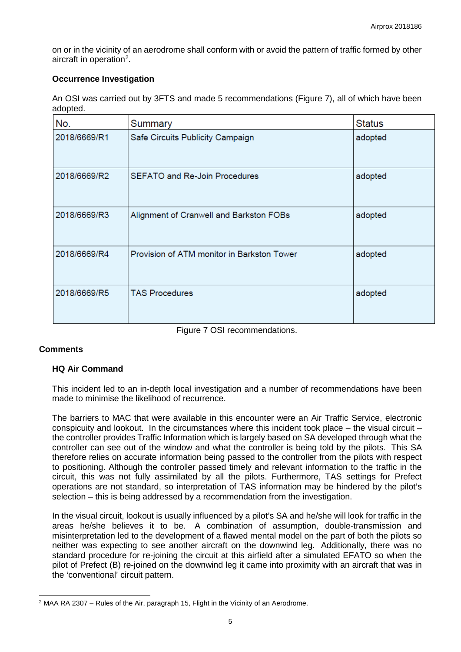on or in the vicinity of an aerodrome shall conform with or avoid the pattern of traffic formed by other aircraft in operation<sup>[2](#page-4-0)</sup>.

## **Occurrence Investigation**

An OSI was carried out by 3FTS and made 5 recommendations (Figure 7), all of which have been adopted.

| No.          | Summary                                    | <b>Status</b> |
|--------------|--------------------------------------------|---------------|
| 2018/6669/R1 | Safe Circuits Publicity Campaign           | adopted       |
| 2018/6669/R2 | <b>SEFATO and Re-Join Procedures</b>       | adopted       |
| 2018/6669/R3 | Alignment of Cranwell and Barkston FOBs    | adopted       |
| 2018/6669/R4 | Provision of ATM monitor in Barkston Tower | adopted       |
| 2018/6669/R5 | <b>TAS Procedures</b>                      | adopted       |
|              |                                            |               |

#### Figure 7 OSI recommendations.

## **Comments**

 $\overline{\phantom{a}}$ 

## **HQ Air Command**

This incident led to an in-depth local investigation and a number of recommendations have been made to minimise the likelihood of recurrence.

The barriers to MAC that were available in this encounter were an Air Traffic Service, electronic conspicuity and lookout. In the circumstances where this incident took place – the visual circuit – the controller provides Traffic Information which is largely based on SA developed through what the controller can see out of the window and what the controller is being told by the pilots. This SA therefore relies on accurate information being passed to the controller from the pilots with respect to positioning. Although the controller passed timely and relevant information to the traffic in the circuit, this was not fully assimilated by all the pilots. Furthermore, TAS settings for Prefect operations are not standard, so interpretation of TAS information may be hindered by the pilot's selection – this is being addressed by a recommendation from the investigation.

In the visual circuit, lookout is usually influenced by a pilot's SA and he/she will look for traffic in the areas he/she believes it to be. A combination of assumption, double-transmission and misinterpretation led to the development of a flawed mental model on the part of both the pilots so neither was expecting to see another aircraft on the downwind leg. Additionally, there was no standard procedure for re-joining the circuit at this airfield after a simulated EFATO so when the pilot of Prefect (B) re-joined on the downwind leg it came into proximity with an aircraft that was in the 'conventional' circuit pattern.

<span id="page-4-0"></span> $2$  MAA RA 2307 – Rules of the Air, paragraph 15, Flight in the Vicinity of an Aerodrome.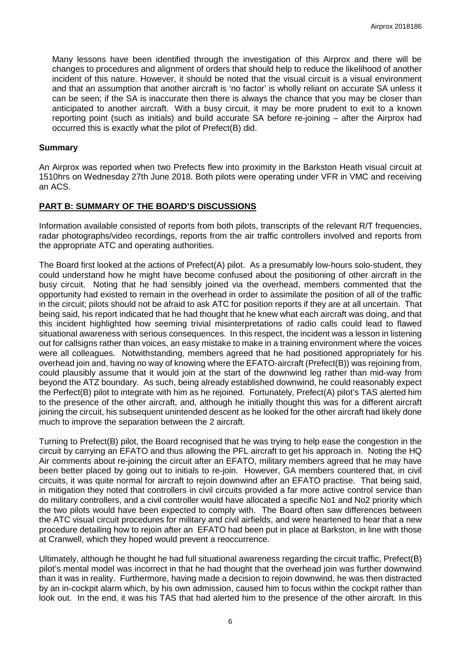Many lessons have been identified through the investigation of this Airprox and there will be changes to procedures and alignment of orders that should help to reduce the likelihood of another incident of this nature. However, it should be noted that the visual circuit is a visual environment and that an assumption that another aircraft is 'no factor' is wholly reliant on accurate SA unless it can be seen; if the SA is inaccurate then there is always the chance that you may be closer than anticipated to another aircraft. With a busy circuit, it may be more prudent to exit to a known reporting point (such as initials) and build accurate SA before re-joining – after the Airprox had occurred this is exactly what the pilot of Prefect(B) did.

### **Summary**

An Airprox was reported when two Prefects flew into proximity in the Barkston Heath visual circuit at 1510hrs on Wednesday 27th June 2018. Both pilots were operating under VFR in VMC and receiving an ACS.

## **PART B: SUMMARY OF THE BOARD'S DISCUSSIONS**

Information available consisted of reports from both pilots, transcripts of the relevant R/T frequencies, radar photographs/video recordings, reports from the air traffic controllers involved and reports from the appropriate ATC and operating authorities.

The Board first looked at the actions of Prefect(A) pilot. As a presumably low-hours solo-student, they could understand how he might have become confused about the positioning of other aircraft in the busy circuit. Noting that he had sensibly joined via the overhead, members commented that the opportunity had existed to remain in the overhead in order to assimilate the position of all of the traffic in the circuit; pilots should not be afraid to ask ATC for position reports if they are at all uncertain. That being said, his report indicated that he had thought that he knew what each aircraft was doing, and that this incident highlighted how seeming trivial misinterpretations of radio calls could lead to flawed situational awareness with serious consequences. In this respect, the incident was a lesson in listening out for callsigns rather than voices, an easy mistake to make in a training environment where the voices were all colleagues. Notwithstanding, members agreed that he had positioned appropriately for his overhead join and, having no way of knowing where the EFATO-aircraft (Prefect(B)) was rejoining from, could plausibly assume that it would join at the start of the downwind leg rather than mid-way from beyond the ATZ boundary. As such, being already established downwind, he could reasonably expect the Perfect(B) pilot to integrate with him as he rejoined. Fortunately, Prefect(A) pilot's TAS alerted him to the presence of the other aircraft, and, although he initially thought this was for a different aircraft joining the circuit, his subsequent unintended descent as he looked for the other aircraft had likely done much to improve the separation between the 2 aircraft.

Turning to Prefect(B) pilot, the Board recognised that he was trying to help ease the congestion in the circuit by carrying an EFATO and thus allowing the PFL aircraft to get his approach in. Noting the HQ Air comments about re-joining the circuit after an EFATO, military members agreed that he may have been better placed by going out to initials to re-join. However, GA members countered that, in civil circuits, it was quite normal for aircraft to rejoin downwind after an EFATO practise. That being said, in mitigation they noted that controllers in civil circuits provided a far more active control service than do military controllers, and a civil controller would have allocated a specific No1 and No2 priority which the two pilots would have been expected to comply with. The Board often saw differences between the ATC visual circuit procedures for military and civil airfields, and were heartened to hear that a new procedure detailing how to rejoin after an EFATO had been put in place at Barkston, in line with those at Cranwell, which they hoped would prevent a reoccurrence.

Ultimately, although he thought he had full situational awareness regarding the circuit traffic, Prefect(B) pilot's mental model was incorrect in that he had thought that the overhead join was further downwind than it was in reality. Furthermore, having made a decision to rejoin downwind, he was then distracted by an in-cockpit alarm which, by his own admission, caused him to focus within the cockpit rather than look out. In the end, it was his TAS that had alerted him to the presence of the other aircraft. In this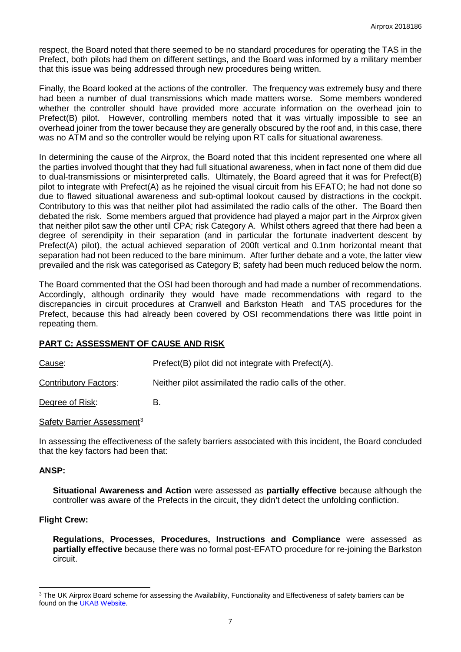respect, the Board noted that there seemed to be no standard procedures for operating the TAS in the Prefect, both pilots had them on different settings, and the Board was informed by a military member that this issue was being addressed through new procedures being written.

Finally, the Board looked at the actions of the controller. The frequency was extremely busy and there had been a number of dual transmissions which made matters worse. Some members wondered whether the controller should have provided more accurate information on the overhead join to Prefect(B) pilot. However, controlling members noted that it was virtually impossible to see an overhead joiner from the tower because they are generally obscured by the roof and, in this case, there was no ATM and so the controller would be relying upon RT calls for situational awareness.

In determining the cause of the Airprox, the Board noted that this incident represented one where all the parties involved thought that they had full situational awareness, when in fact none of them did due to dual-transmissions or misinterpreted calls. Ultimately, the Board agreed that it was for Prefect(B) pilot to integrate with Prefect(A) as he rejoined the visual circuit from his EFATO; he had not done so due to flawed situational awareness and sub-optimal lookout caused by distractions in the cockpit. Contributory to this was that neither pilot had assimilated the radio calls of the other. The Board then debated the risk. Some members argued that providence had played a major part in the Airprox given that neither pilot saw the other until CPA; risk Category A. Whilst others agreed that there had been a degree of serendipity in their separation (and in particular the fortunate inadvertent descent by Prefect(A) pilot), the actual achieved separation of 200ft vertical and 0.1nm horizontal meant that separation had not been reduced to the bare minimum. After further debate and a vote, the latter view prevailed and the risk was categorised as Category B; safety had been much reduced below the norm.

The Board commented that the OSI had been thorough and had made a number of recommendations. Accordingly, although ordinarily they would have made recommendations with regard to the discrepancies in circuit procedures at Cranwell and Barkston Heath and TAS procedures for the Prefect, because this had already been covered by OSI recommendations there was little point in repeating them.

## **PART C: ASSESSMENT OF CAUSE AND RISK**

Cause: Prefect(B) pilot did not integrate with Prefect(A).

Contributory Factors: Neither pilot assimilated the radio calls of the other.

Degree of Risk: B.

Safety Barrier Assessment<sup>[3](#page-6-0)</sup>

In assessing the effectiveness of the safety barriers associated with this incident, the Board concluded that the key factors had been that:

### **ANSP:**

l

**Situational Awareness and Action** were assessed as **partially effective** because although the controller was aware of the Prefects in the circuit, they didn't detect the unfolding confliction.

#### **Flight Crew:**

**Regulations, Processes, Procedures, Instructions and Compliance** were assessed as **partially effective** because there was no formal post-EFATO procedure for re-joining the Barkston circuit.

<span id="page-6-0"></span><sup>&</sup>lt;sup>3</sup> The UK Airprox Board scheme for assessing the Availability, Functionality and Effectiveness of safety barriers can be found on the **UKAB Website**.